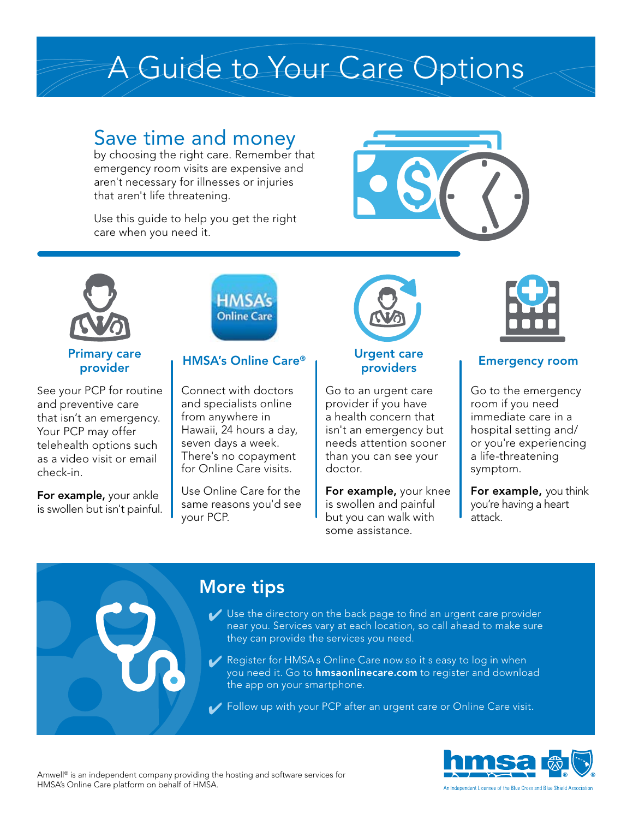# A Guide to Your Care Options

## Save time and money

by choosing the right care. Remember that emergency room visits are expensive and aren't necessary for illnesses or injuries that aren't life threatening.

Use this guide to help you get the right care when you need it.





### Primary care provider

See your PCP for routine and preventive care that isn't an emergency. Your PCP may offer telehealth options such as a video visit or email check-in.

**For example, your ankle** is swollen but isn't painful.



## HMSA's Online Care®

Connect with doctors and specialists online from anywhere in Hawaii, 24 hours a day, seven days a week. There's no copayment for Online Care visits.

Use Online Care for the same reasons you'd see your PCP.



### Urgent care providers

Go to an urgent care provider if you have a health concern that isn't an emergency but needs attention sooner than you can see your doctor.

For example, your knee is swollen and painful but you can walk with some assistance.



## Emergency room

Go to the emergency room if you need immediate care in a hospital setting and/ or you're experiencing a life-threatening symptom.

For example, you think you're having a heart attack.

## More tips

- ↓ Use the directory on the back page to find an urgent care provider near you. Services vary at each location, so call ahead to make sure they can provide the services you need.
- ◆ Register for HMSA s Online Care now so it s easy to log in when you need it. Go to [hmsaonlinecare.com](http://hmsaonlinecare.com) to register and download the app on your smartphone.
- ✔ Follow up with your PCP after an urgent care or Online Care visit.